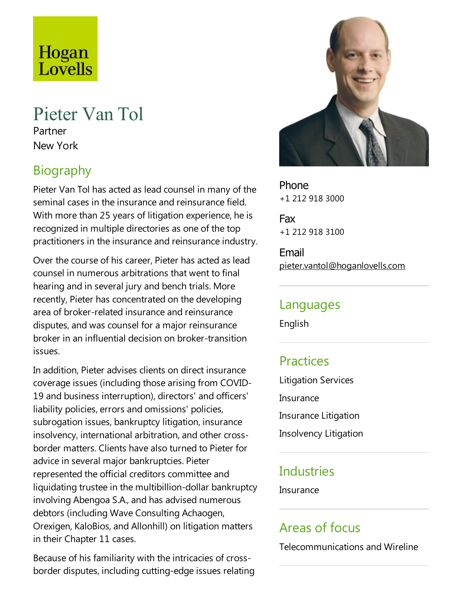# Hogan Lovells

## Pieter Van Tol

Partner New York

## Biography

Pieter Van Tol has acted as lead counsel in many of the seminal cases in the insurance and reinsurance field. With more than 25 years of litigation experience, he is recognized in multiple directories as one of the top practitioners in the insurance and reinsurance industry.

Over the course of his career, Pieter has acted as lead counsel in numerous arbitrations that went to final hearing and in several jury and bench trials.More recently, Pieter has concentrated on the developing area of broker-related insurance and reinsurance disputes,and was counsel for a major reinsurance broker in an influential decision on broker-transition issues.

In addition, Pieter advises clients on direct insurance coverage issues (including those arising from COVID-19 and business interruption), directors' and officers' liability policies, errors and omissions' policies, subrogation issues, bankruptcy litigation, insurance insolvency, international arbitration,and other crossborder matters. Clients havealso turned to Pieter for advice in several major bankruptcies. Pieter represented the official creditors committee and liquidating trustee in the multibillion-dollar bankruptcy involving Abengoa S.A., and has advised numerous debtors (including Wave Consulting Achaogen, Orexigen, KaloBios,and Allonhill) on litigation matters in their Chapter 11 cases.

Because of his familiarity with the intricacies of crossborder disputes, including cutting-edge issues relating



Phone +1 212 918 3000

Fax +1 212 918 3100

Email pieter.vantol@hoganlovells.com

#### Languages

English

## **Practices**

Litigation Services Insurance Insurance Litigation Insolvency Litigation

## Industries

Insurance

#### Areas of focus

Telecommunications and Wireline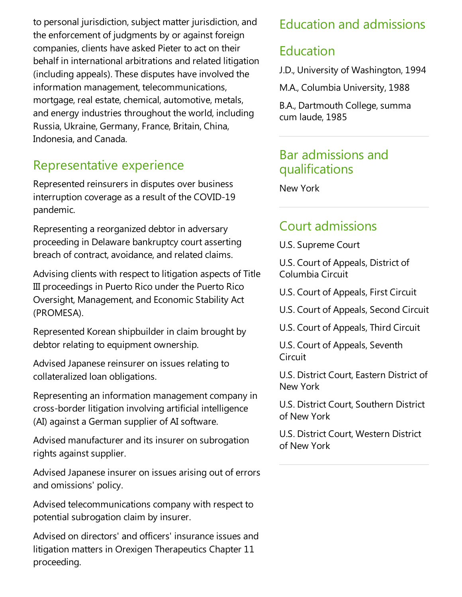to personal jurisdiction, subject matter jurisdiction,and the enforcement of judgments by or against foreign companies, clients have asked Pieter to act on their behalf in international arbitrations and related litigation (including appeals). These disputes have involved the information management, telecommunications, mortgage, real estate, chemical, automotive, metals, and energy industries throughout the world, including Russia, Ukraine, Germany, France, Britain, China, Indonesia, and Canada.

## Representative experience

Represented reinsurers in disputes over business interruption coverage as a result of the COVID-19 pandemic.

Representing a reorganized debtor in adversary proceeding in Delaware bankruptcy court asserting breach of contract, avoidance, and related claims.

Advising clients with respect to litigation aspects of Title III proceedings in Puerto Rico under the Puerto Rico Oversight, Management, and Economic Stability Act (PROMESA).

Represented Korean shipbuilder in claim brought by debtor relating to equipment ownership.

Advised Japanese reinsurer on issues relating to collateralized loan obligations.

Representing an information management company in cross-border litigation involving artificial intelligence (AI) against a German supplier of AI software.

Advised manufacturer and its insurer on subrogation rights against supplier.

Advised Japanese insurer on issues arising out of errors and omissions' policy.

Advised telecommunications company with respect to potential subrogation claim by insurer.

Advised on directors' and officers' insurance issues and litigation matters in Orexigen Therapeutics Chapter 11 proceeding.

## Education and admissions

#### Education

J.D., University of Washington, 1994

M.A., Columbia University, 1988

B.A., Dartmouth College, summa cum laude, 1985

### Bar admissions and qualifications

New York

## Court admissions

U.S. Supreme Court

U.S. Court of Appeals, District of Columbia Circuit

U.S. Court of Appeals, First Circuit

U.S. Court of Appeals, Second Circuit

U.S. Court of Appeals, Third Circuit

U.S. Court of Appeals, Seventh Circuit

U.S. District Court, Eastern District of New York

U.S. District Court, Southern District of New York

U.S. District Court, Western District of New York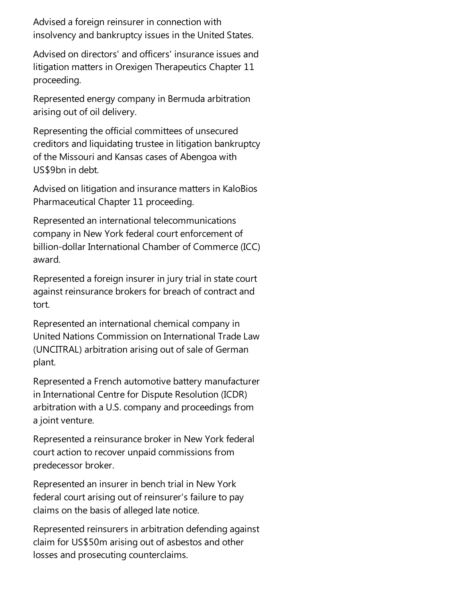Advised aforeign reinsurer in connection with insolvency and bankruptcy issues in the United States.

Advised on directors' and officers' insurance issues and litigation matters in Orexigen Therapeutics Chapter 11 proceeding.

Represented energy company in Bermuda arbitration arising out of oil delivery.

Representing the official committees of unsecured creditors and liquidating trustee in litigation bankruptcy of the Missouri and Kansas cases of Abengoa with US\$9bn in debt.

Advised on litigation and insurance matters in KaloBios Pharmaceutical Chapter 11 proceeding.

Represented an international telecommunications company in New York federal court enforcement of billion-dollar International Chamber of Commerce (ICC) award.

Represented a foreign insurer in jury trial in state court against reinsurance brokers for breach of contract and tort.

Represented an international chemical company in United Nations Commission on International Trade Law (UNCITRAL) arbitration arising out of sale of German plant.

Represented aFrench automotive battery manufacturer in International Centre for Dispute Resolution (ICDR) arbitration with a U.S.company and proceedings from a joint venture.

Represented a reinsurance broker in New York federal court action to recover unpaid commissions from predecessor broker.

Represented an insurer in bench trial in New York federal court arising out of reinsurer's failure to pay claims on the basis of alleged late notice.

Represented reinsurers in arbitration defending against claim for US\$50m arising out of asbestos and other losses and prosecuting counterclaims.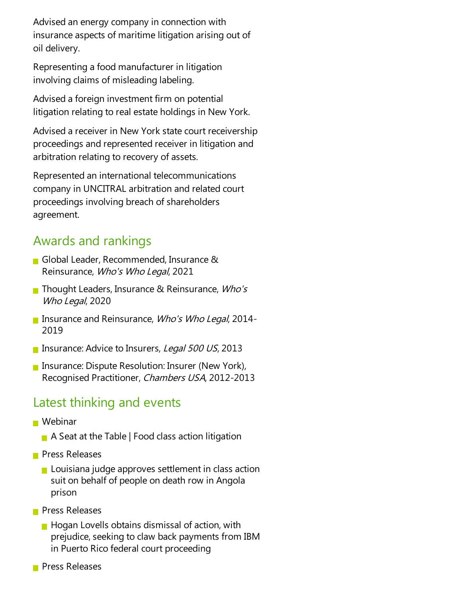Advised an energy company in connection with insurance aspects of maritime litigation arising out of oil delivery.

Representing afood manufacturer in litigation involving claims of misleading labeling.

Advised aforeign investment firm on potential litigation relating to real estate holdings in New York.

Advised a receiver in New York state court receivership proceedings and represented receiver in litigation and arbitration relating to recovery of assets.

Represented an international telecommunications company in UNCITRAL arbitration and related court proceedings involving breach of shareholders agreement.

## Awards and rankings

- Global Leader, Recommended, Insurance & Reinsurance, Who's Who Legal, 2021
- Thought Leaders, Insurance & Reinsurance, *Who's* Who Legal, 2020
- **Insurance and Reinsurance, Who's Who Legal, 2014-**2019
- **Insurance: Advice to Insurers, Legal 500 US, 2013**
- **Insurance: Dispute Resolution: Insurer (New York),** Recognised Practitioner, Chambers USA, 2012-2013

#### Latest thinking and events

- **Webinar** 
	- $\blacksquare$  A Seat at the Table | Food class action litigation
- **Press Releases** 
	- $\blacksquare$  Louisiana judge approves settlement in class action suit on behalf of people on death row in Angola prison
- **Press Releases** 
	- $\blacksquare$  Hogan Lovells obtains dismissal of action, with prejudice, seeking to claw back payments from IBM in Puerto Rico federal court proceeding
- **Press Releases**